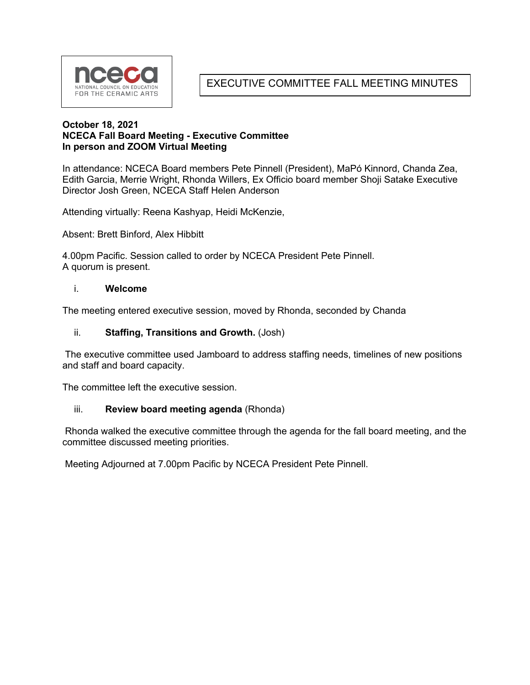

EXECUTIVE COMMITTEE FALL MEETING MINUTES

### **October 18, 2021 NCECA Fall Board Meeting - Executive Committee In person and ZOOM Virtual Meeting**

In attendance: NCECA Board members Pete Pinnell (President), MaPó Kinnord, Chanda Zea, Edith Garcia, Merrie Wright, Rhonda Willers, Ex Officio board member Shoji Satake Executive Director Josh Green, NCECA Staff Helen Anderson

Attending virtually: Reena Kashyap, Heidi McKenzie,

Absent: Brett Binford, Alex Hibbitt

4.00pm Pacific. Session called to order by NCECA President Pete Pinnell. A quorum is present.

#### i. **Welcome**

The meeting entered executive session, moved by Rhonda, seconded by Chanda

#### ii. **Staffing, Transitions and Growth.** (Josh)

The executive committee used Jamboard to address staffing needs, timelines of new positions and staff and board capacity.

The committee left the executive session.

### iii. **Review board meeting agenda** (Rhonda)

Rhonda walked the executive committee through the agenda for the fall board meeting, and the committee discussed meeting priorities.

Meeting Adjourned at 7.00pm Pacific by NCECA President Pete Pinnell.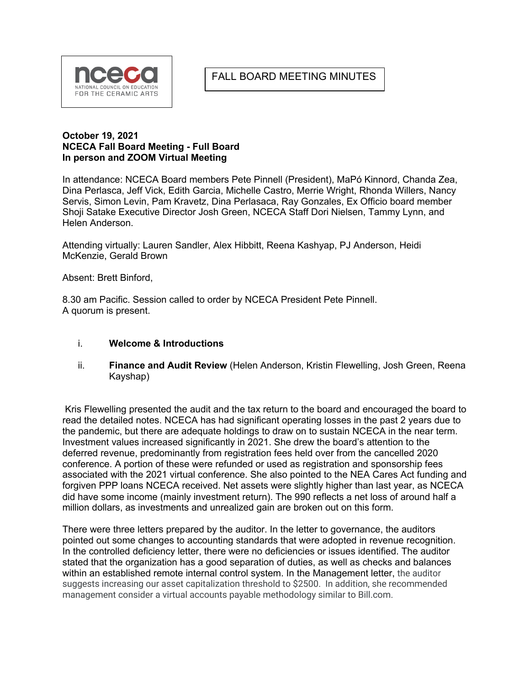# FALL BOARD MEETING MINUTES



#### **October 19, 2021 NCECA Fall Board Meeting - Full Board In person and ZOOM Virtual Meeting**

In attendance: NCECA Board members Pete Pinnell (President), MaPó Kinnord, Chanda Zea, Dina Perlasca, Jeff Vick, Edith Garcia, Michelle Castro, Merrie Wright, Rhonda Willers, Nancy Servis, Simon Levin, Pam Kravetz, Dina Perlasaca, Ray Gonzales, Ex Officio board member Shoji Satake Executive Director Josh Green, NCECA Staff Dori Nielsen, Tammy Lynn, and Helen Anderson.

Attending virtually: Lauren Sandler, Alex Hibbitt, Reena Kashyap, PJ Anderson, Heidi McKenzie, Gerald Brown

Absent: Brett Binford,

8.30 am Pacific. Session called to order by NCECA President Pete Pinnell. A quorum is present.

#### i. **Welcome & Introductions**

ii. **Finance and Audit Review** (Helen Anderson, Kristin Flewelling, Josh Green, Reena Kayshap)

Kris Flewelling presented the audit and the tax return to the board and encouraged the board to read the detailed notes. NCECA has had significant operating losses in the past 2 years due to the pandemic, but there are adequate holdings to draw on to sustain NCECA in the near term. Investment values increased significantly in 2021. She drew the board's attention to the deferred revenue, predominantly from registration fees held over from the cancelled 2020 conference. A portion of these were refunded or used as registration and sponsorship fees associated with the 2021 virtual conference. She also pointed to the NEA Cares Act funding and forgiven PPP loans NCECA received. Net assets were slightly higher than last year, as NCECA did have some income (mainly investment return). The 990 reflects a net loss of around half a million dollars, as investments and unrealized gain are broken out on this form.

There were three letters prepared by the auditor. In the letter to governance, the auditors pointed out some changes to accounting standards that were adopted in revenue recognition. In the controlled deficiency letter, there were no deficiencies or issues identified. The auditor stated that the organization has a good separation of duties, as well as checks and balances within an established remote internal control system. In the Management letter, the auditor suggests increasing our asset capitalization threshold to \$2500. In addition, she recommended management consider a virtual accounts payable methodology similar to Bill.com.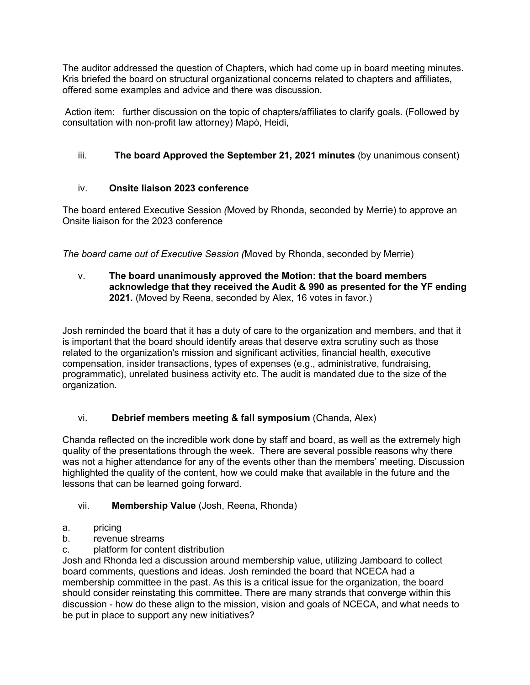The auditor addressed the question of Chapters, which had come up in board meeting minutes. Kris briefed the board on structural organizational concerns related to chapters and affiliates, offered some examples and advice and there was discussion.

Action item: further discussion on the topic of chapters/affiliates to clarify goals. (Followed by consultation with non-profit law attorney) Mapó, Heidi,

# iii. **The board Approved the September 21, 2021 minutes** (by unanimous consent)

## iv. **Onsite liaison 2023 conference**

The board entered Executive Session *(*Moved by Rhonda, seconded by Merrie) to approve an Onsite liaison for the 2023 conference

*The board came out of Executive Session (*Moved by Rhonda, seconded by Merrie)

v. **The board unanimously approved the Motion: that the board members acknowledge that they received the Audit & 990 as presented for the YF ending 2021.** (Moved by Reena, seconded by Alex, 16 votes in favor.)

Josh reminded the board that it has a duty of care to the organization and members, and that it is important that the board should identify areas that deserve extra scrutiny such as those related to the organization's mission and significant activities, financial health, executive compensation, insider transactions, types of expenses (e.g., administrative, fundraising, programmatic), unrelated business activity etc. The audit is mandated due to the size of the organization.

## vi. **Debrief members meeting & fall symposium** (Chanda, Alex)

Chanda reflected on the incredible work done by staff and board, as well as the extremely high quality of the presentations through the week. There are several possible reasons why there was not a higher attendance for any of the events other than the members' meeting. Discussion highlighted the quality of the content, how we could make that available in the future and the lessons that can be learned going forward.

## vii. **Membership Value** (Josh, Reena, Rhonda)

- a. pricing
- b. revenue streams
- c. platform for content distribution

Josh and Rhonda led a discussion around membership value, utilizing Jamboard to collect board comments, questions and ideas. Josh reminded the board that NCECA had a membership committee in the past. As this is a critical issue for the organization, the board should consider reinstating this committee. There are many strands that converge within this discussion - how do these align to the mission, vision and goals of NCECA, and what needs to be put in place to support any new initiatives?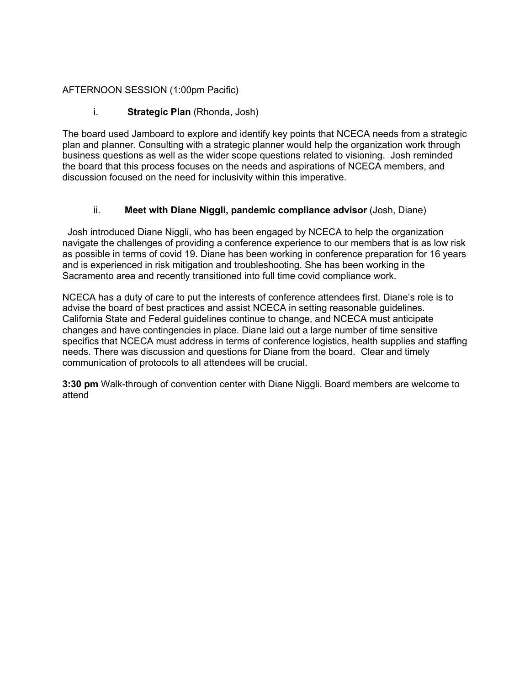### AFTERNOON SESSION (1:00pm Pacific)

### i. **Strategic Plan** (Rhonda, Josh)

The board used Jamboard to explore and identify key points that NCECA needs from a strategic plan and planner. Consulting with a strategic planner would help the organization work through business questions as well as the wider scope questions related to visioning. Josh reminded the board that this process focuses on the needs and aspirations of NCECA members, and discussion focused on the need for inclusivity within this imperative.

### ii. **Meet with Diane Niggli, pandemic compliance advisor** (Josh, Diane)

 Josh introduced Diane Niggli, who has been engaged by NCECA to help the organization navigate the challenges of providing a conference experience to our members that is as low risk as possible in terms of covid 19. Diane has been working in conference preparation for 16 years and is experienced in risk mitigation and troubleshooting. She has been working in the Sacramento area and recently transitioned into full time covid compliance work.

NCECA has a duty of care to put the interests of conference attendees first. Diane's role is to advise the board of best practices and assist NCECA in setting reasonable guidelines. California State and Federal guidelines continue to change, and NCECA must anticipate changes and have contingencies in place. Diane laid out a large number of time sensitive specifics that NCECA must address in terms of conference logistics, health supplies and staffing needs. There was discussion and questions for Diane from the board. Clear and timely communication of protocols to all attendees will be crucial.

**3:30 pm** Walk-through of convention center with Diane Niggli. Board members are welcome to attend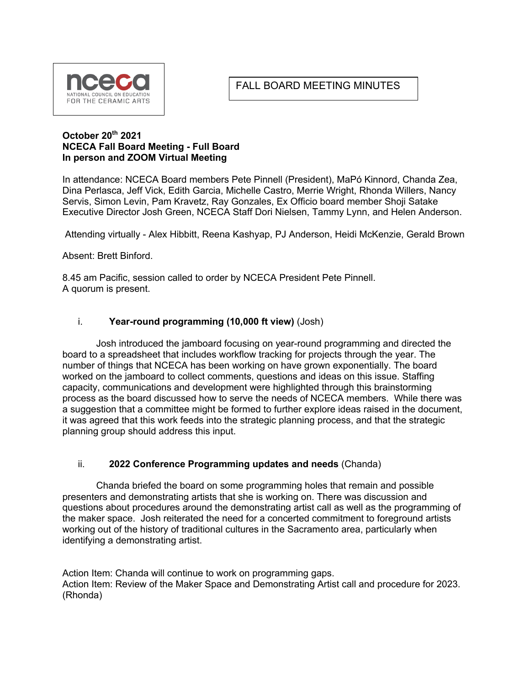# FALL BOARD MEETING MINUTES



### **October 20th 2021 NCECA Fall Board Meeting - Full Board In person and ZOOM Virtual Meeting**

In attendance: NCECA Board members Pete Pinnell (President), MaPó Kinnord, Chanda Zea, Dina Perlasca, Jeff Vick, Edith Garcia, Michelle Castro, Merrie Wright, Rhonda Willers, Nancy Servis, Simon Levin, Pam Kravetz, Ray Gonzales, Ex Officio board member Shoji Satake Executive Director Josh Green, NCECA Staff Dori Nielsen, Tammy Lynn, and Helen Anderson.

Attending virtually - Alex Hibbitt, Reena Kashyap, PJ Anderson, Heidi McKenzie, Gerald Brown

Absent: Brett Binford.

8.45 am Pacific, session called to order by NCECA President Pete Pinnell. A quorum is present.

### i. **Year-round programming (10,000 ft view)** (Josh)

Josh introduced the jamboard focusing on year-round programming and directed the board to a spreadsheet that includes workflow tracking for projects through the year. The number of things that NCECA has been working on have grown exponentially. The board worked on the jamboard to collect comments, questions and ideas on this issue. Staffing capacity, communications and development were highlighted through this brainstorming process as the board discussed how to serve the needs of NCECA members. While there was a suggestion that a committee might be formed to further explore ideas raised in the document, it was agreed that this work feeds into the strategic planning process, and that the strategic planning group should address this input.

### ii. **2022 Conference Programming updates and needs** (Chanda)

Chanda briefed the board on some programming holes that remain and possible presenters and demonstrating artists that she is working on. There was discussion and questions about procedures around the demonstrating artist call as well as the programming of the maker space. Josh reiterated the need for a concerted commitment to foreground artists working out of the history of traditional cultures in the Sacramento area, particularly when identifying a demonstrating artist.

Action Item: Chanda will continue to work on programming gaps. Action Item: Review of the Maker Space and Demonstrating Artist call and procedure for 2023. (Rhonda)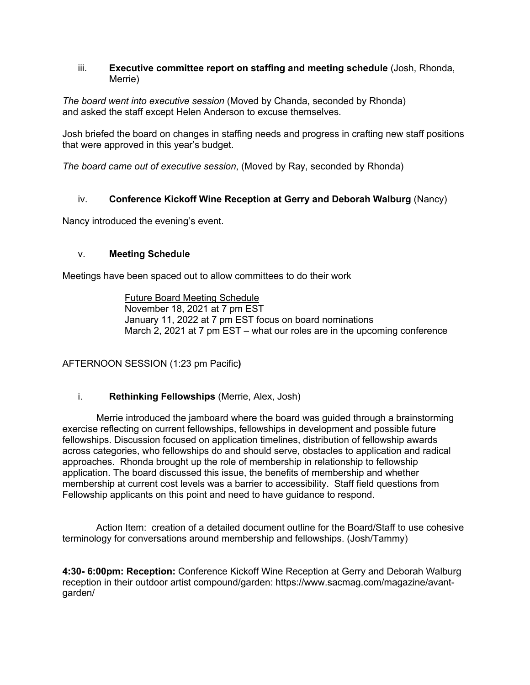### iii. **Executive committee report on staffing and meeting schedule** (Josh, Rhonda, Merrie)

*The board went into executive session* (Moved by Chanda, seconded by Rhonda) and asked the staff except Helen Anderson to excuse themselves.

Josh briefed the board on changes in staffing needs and progress in crafting new staff positions that were approved in this year's budget.

*The board came out of executive session*, (Moved by Ray, seconded by Rhonda)

## iv. **Conference Kickoff Wine Reception at Gerry and Deborah Walburg** (Nancy)

Nancy introduced the evening's event.

### v. **Meeting Schedule**

Meetings have been spaced out to allow committees to do their work

Future Board Meeting Schedule November 18, 2021 at 7 pm EST January 11, 2022 at 7 pm EST focus on board nominations March 2, 2021 at 7 pm EST – what our roles are in the upcoming conference

AFTERNOON SESSION (1:23 pm Pacific**)**

### i. **Rethinking Fellowships** (Merrie, Alex, Josh)

Merrie introduced the jamboard where the board was guided through a brainstorming exercise reflecting on current fellowships, fellowships in development and possible future fellowships. Discussion focused on application timelines, distribution of fellowship awards across categories, who fellowships do and should serve, obstacles to application and radical approaches. Rhonda brought up the role of membership in relationship to fellowship application. The board discussed this issue, the benefits of membership and whether membership at current cost levels was a barrier to accessibility. Staff field questions from Fellowship applicants on this point and need to have guidance to respond.

Action Item: creation of a detailed document outline for the Board/Staff to use cohesive terminology for conversations around membership and fellowships. (Josh/Tammy)

**4:30- 6:00pm: Reception:** Conference Kickoff Wine Reception at Gerry and Deborah Walburg reception in their outdoor artist compound/garden: https://www.sacmag.com/magazine/avantgarden/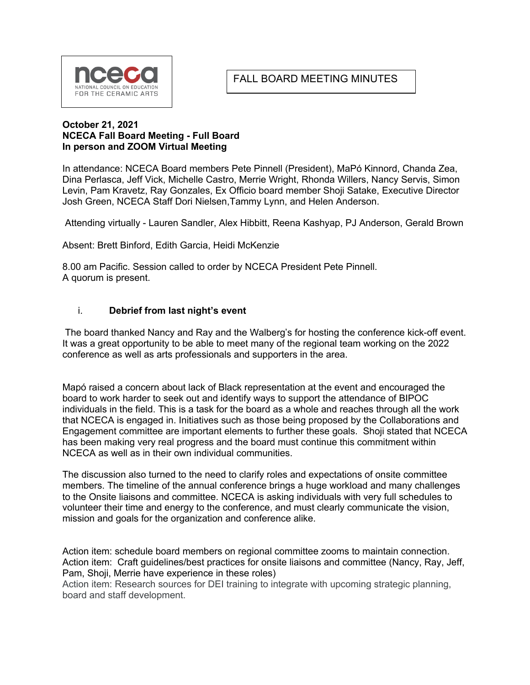# FALL BOARD MEETING MINUTES



#### **October 21, 2021 NCECA Fall Board Meeting - Full Board In person and ZOOM Virtual Meeting**

In attendance: NCECA Board members Pete Pinnell (President), MaPó Kinnord, Chanda Zea, Dina Perlasca, Jeff Vick, Michelle Castro, Merrie Wright, Rhonda Willers, Nancy Servis, Simon Levin, Pam Kravetz, Ray Gonzales, Ex Officio board member Shoji Satake, Executive Director Josh Green, NCECA Staff Dori Nielsen,Tammy Lynn, and Helen Anderson.

Attending virtually - Lauren Sandler, Alex Hibbitt, Reena Kashyap, PJ Anderson, Gerald Brown

Absent: Brett Binford, Edith Garcia, Heidi McKenzie

8.00 am Pacific. Session called to order by NCECA President Pete Pinnell. A quorum is present.

### i. **Debrief from last night's event**

The board thanked Nancy and Ray and the Walberg's for hosting the conference kick-off event. It was a great opportunity to be able to meet many of the regional team working on the 2022 conference as well as arts professionals and supporters in the area.

Mapó raised a concern about lack of Black representation at the event and encouraged the board to work harder to seek out and identify ways to support the attendance of BIPOC individuals in the field. This is a task for the board as a whole and reaches through all the work that NCECA is engaged in. Initiatives such as those being proposed by the Collaborations and Engagement committee are important elements to further these goals. Shoji stated that NCECA has been making very real progress and the board must continue this commitment within NCECA as well as in their own individual communities.

The discussion also turned to the need to clarify roles and expectations of onsite committee members. The timeline of the annual conference brings a huge workload and many challenges to the Onsite liaisons and committee. NCECA is asking individuals with very full schedules to volunteer their time and energy to the conference, and must clearly communicate the vision, mission and goals for the organization and conference alike.

Action item: schedule board members on regional committee zooms to maintain connection. Action item: Craft guidelines/best practices for onsite liaisons and committee (Nancy, Ray, Jeff, Pam, Shoji, Merrie have experience in these roles)

Action item: Research sources for DEI training to integrate with upcoming strategic planning, board and staff development.